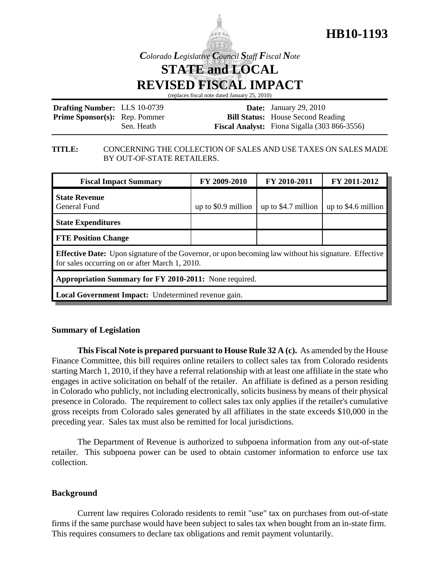



*Colorado Legislative Council Staff Fiscal Note*

**STATE and LOCAL**

**REVISED FISCAL IMPACT**

(replaces fiscal note dated January 25, 2010)

| <b>Drafting Number: LLS 10-0739</b>  |            | <b>Date:</b> January 29, 2010                       |
|--------------------------------------|------------|-----------------------------------------------------|
| <b>Prime Sponsor(s):</b> Rep. Pommer |            | <b>Bill Status:</b> House Second Reading            |
|                                      | Sen. Heath | <b>Fiscal Analyst:</b> Fiona Sigalla (303 866-3556) |

### **TITLE:** CONCERNING THE COLLECTION OF SALES AND USE TAXES ON SALES MADE BY OUT-OF-STATE RETAILERS.

| <b>Fiscal Impact Summary</b>                                                                                                                                   | FY 2009-2010         | FY 2010-2011         | FY 2011-2012         |  |  |
|----------------------------------------------------------------------------------------------------------------------------------------------------------------|----------------------|----------------------|----------------------|--|--|
| <b>State Revenue</b><br>General Fund                                                                                                                           | up to $$0.9$ million | up to $$4.7$ million | up to $$4.6$ million |  |  |
| <b>State Expenditures</b>                                                                                                                                      |                      |                      |                      |  |  |
| <b>FTE Position Change</b>                                                                                                                                     |                      |                      |                      |  |  |
| <b>Effective Date:</b> Upon signature of the Governor, or upon becoming law without his signature. Effective<br>for sales occurring on or after March 1, 2010. |                      |                      |                      |  |  |
| Appropriation Summary for FY 2010-2011: None required.                                                                                                         |                      |                      |                      |  |  |
| Local Government Impact: Undetermined revenue gain.                                                                                                            |                      |                      |                      |  |  |

## **Summary of Legislation**

**This Fiscal Note is prepared pursuant to House Rule 32 A (c).** As amended by the House Finance Committee, this bill requires online retailers to collect sales tax from Colorado residents starting March 1, 2010, if they have a referral relationship with at least one affiliate in the state who engages in active solicitation on behalf of the retailer. An affiliate is defined as a person residing in Colorado who publicly, not including electronically, solicits business by means of their physical presence in Colorado. The requirement to collect sales tax only applies if the retailer's cumulative gross receipts from Colorado sales generated by all affiliates in the state exceeds \$10,000 in the preceding year. Sales tax must also be remitted for local jurisdictions.

The Department of Revenue is authorized to subpoena information from any out-of-state retailer. This subpoena power can be used to obtain customer information to enforce use tax collection.

### **Background**

Current law requires Colorado residents to remit "use" tax on purchases from out-of-state firms if the same purchase would have been subject to sales tax when bought from an in-state firm. This requires consumers to declare tax obligations and remit payment voluntarily.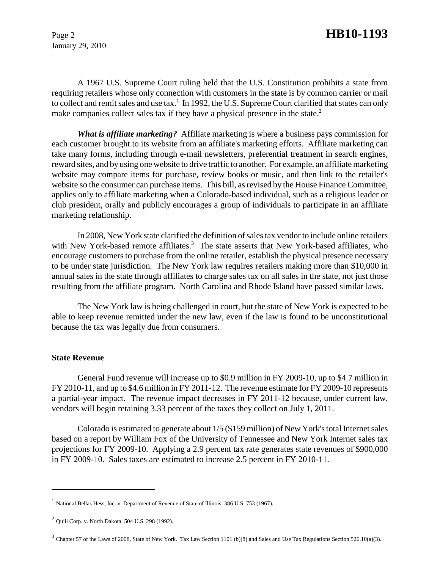January 29, 2010

# Page 2 **HB10-1193**

A 1967 U.S. Supreme Court ruling held that the U.S. Constitution prohibits a state from requiring retailers whose only connection with customers in the state is by common carrier or mail to collect and remit sales and use tax.<sup>1</sup> In 1992, the U.S. Supreme Court clarified that states can only make companies collect sales tax if they have a physical presence in the state.<sup>2</sup>

*What is affiliate marketing?* Affiliate marketing is where a business pays commission for each customer brought to its website from an affiliate's marketing efforts. Affiliate marketing can take many forms, including through e-mail newsletters, preferential treatment in search engines, reward sites, and by using one website to drive traffic to another. For example, an affiliate marketing website may compare items for purchase, review books or music, and then link to the retailer's website so the consumer can purchase items. This bill, as revised by the House Finance Committee, applies only to affiliate marketing when a Colorado-based individual, such as a religious leader or club president, orally and publicly encourages a group of individuals to participate in an affiliate marketing relationship.

In 2008, New York state clarified the definition of sales tax vendor to include online retailers with New York-based remote affiliates.<sup>3</sup> The state asserts that New York-based affiliates, who encourage customers to purchase from the online retailer, establish the physical presence necessary to be under state jurisdiction. The New York law requires retailers making more than \$10,000 in annual sales in the state through affiliates to charge sales tax on all sales in the state, not just those resulting from the affiliate program. North Carolina and Rhode Island have passed similar laws.

The New York law is being challenged in court, but the state of New York is expected to be able to keep revenue remitted under the new law, even if the law is found to be unconstitutional because the tax was legally due from consumers.

#### **State Revenue**

General Fund revenue will increase up to \$0.9 million in FY 2009-10, up to \$4.7 million in FY 2010-11, and up to \$4.6 million in FY 2011-12. The revenue estimate for FY 2009-10 represents a partial-year impact. The revenue impact decreases in FY 2011-12 because, under current law, vendors will begin retaining 3.33 percent of the taxes they collect on July 1, 2011.

Colorado is estimated to generate about 1/5 (\$159 million) of New York's total Internet sales based on a report by William Fox of the University of Tennessee and New York Internet sales tax projections for FY 2009-10. Applying a 2.9 percent tax rate generates state revenues of \$900,000 in FY 2009-10. Sales taxes are estimated to increase 2.5 percent in FY 2010-11.

<sup>&</sup>lt;sup>1</sup> National Bellas Hess, Inc. v. Department of Revenue of State of Illinois, 386 U.S. 753 (1967).

<sup>2</sup> Quill Corp. v. North Dakota, 504 U.S. 298 (1992).

 $3$  Chapter 57 of the Laws of 2008, State of New York. Tax Law Section 1101 (b)(8) and Sales and Use Tax Regulations Section 526.10(a)(3).